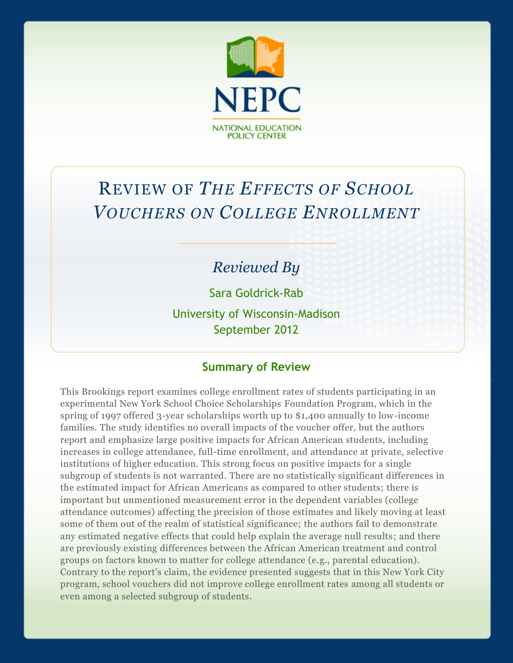

# REVIEW OF *THE EFFECTS OF SCHOOL VOUCHERS ON COLLEGE ENROLLMENT*

### *Reviewed By*

Sara Goldrick-Rab

University of Wisconsin-Madison September 2012

#### **Summary of Review**

This Brookings report examines college enrollment rates of students participating in an experimental New York School Choice Scholarships Foundation Program, which in the spring of 1997 offered 3-year scholarships worth up to \$1,400 annually to low-income families. The study identifies no overall impacts of the voucher offer, but the authors report and emphasize large positive impacts for African American students, including increases in college attendance, full-time enrollment, and attendance at private, selective institutions of higher education. This strong focus on positive impacts for a single subgroup of students is not warranted. There are no statistically significant differences in the estimated impact for African Americans as compared to other students; there is important but unmentioned measurement error in the dependent variables (college attendance outcomes) affecting the precision of those estimates and likely moving at least some of them out of the realm of statistical significance; the authors fail to demonstrate any estimated negative effects that could help explain the average null results; and there are previously existing differences between the African American treatment and control groups on factors known to matter for college attendance (e.g., parental education). Contrary to the report's claim, the evidence presented suggests that in this New York City program, school vouchers did not improve college enrollment rates among all students or even among a selected subgroup of students.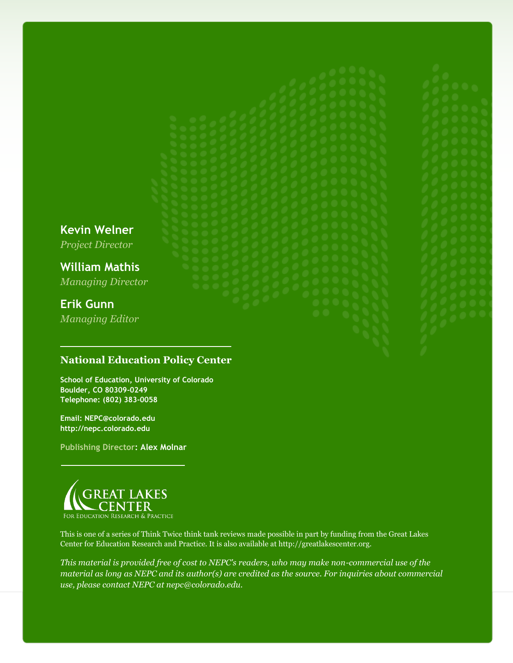**Kevin Welner**

*Project Director*

**William Mathis** *Managing Director*

### **Erik Gunn**

*Managing Editor*

#### **National Education Policy Center**

**School of Education, University of Colorado Boulder, CO 80309-0249 Telephone: (802) 383-0058**

**Email: NEPC@colorado.edu http://nepc.colorado.edu**

**Publishing Director: Alex Molnar**



This is one of a series of Think Twice think tank reviews made possible in part by funding from the Great Lakes Center for Education Research and Practice. It is also available at http://greatlakescenter.org.

*This material is provided free of cost to NEPC's readers, who may make non-commercial use of the material as long as NEPC and its author(s) are credited as the source. For inquiries about commercial use, please contact NEPC at nepc@colorado.edu.*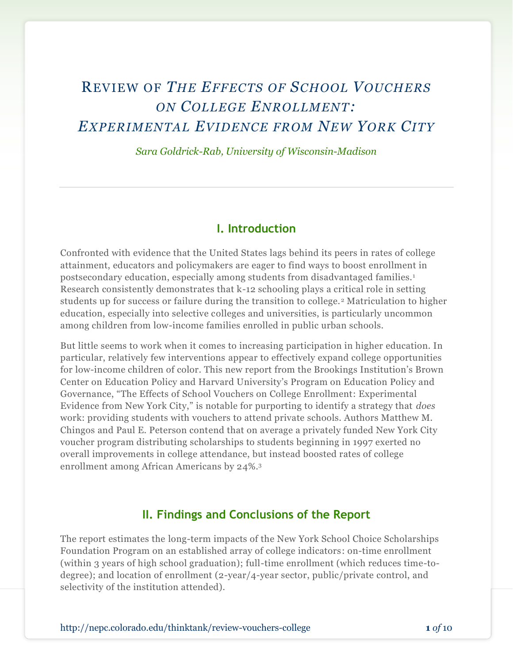## REVIEW OF *THE EFFECTS OF SCHOOL VOUCHERS ON COLLEGE ENROLLMENT: EXPERIMENTAL EVIDENCE FROM NEW YORK CITY*

*Sara Goldrick-Rab, University of Wisconsin-Madison*

#### **I. Introduction**

Confronted with evidence that the United States lags behind its peers in rates of college attainment, educators and policymakers are eager to find ways to boost enrollment in postsecondary education, especially among students from disadvantaged families.<sup>1</sup> Research consistently demonstrates that k-12 schooling plays a critical role in setting students up for success or failure during the transition to college. <sup>2</sup> Matriculation to higher education, especially into selective colleges and universities, is particularly uncommon among children from low-income families enrolled in public urban schools.

But little seems to work when it comes to increasing participation in higher education. In particular, relatively few interventions appear to effectively expand college opportunities for low-income children of color. This new report from the Brookings Institution's Brown Center on Education Policy and Harvard University's Program on Education Policy and Governance, "The Effects of School Vouchers on College Enrollment: Experimental Evidence from New York City," is notable for purporting to identify a strategy that *does* work: providing students with vouchers to attend private schools. Authors Matthew M. Chingos and Paul E. Peterson contend that on average a privately funded New York City voucher program distributing scholarships to students beginning in 1997 exerted no overall improvements in college attendance, but instead boosted rates of college enrollment among African Americans by 24%. 3

#### **II. Findings and Conclusions of the Report**

The report estimates the long-term impacts of the New York School Choice Scholarships Foundation Program on an established array of college indicators: on-time enrollment (within 3 years of high school graduation); full-time enrollment (which reduces time-todegree); and location of enrollment (2-year/4-year sector, public/private control, and selectivity of the institution attended).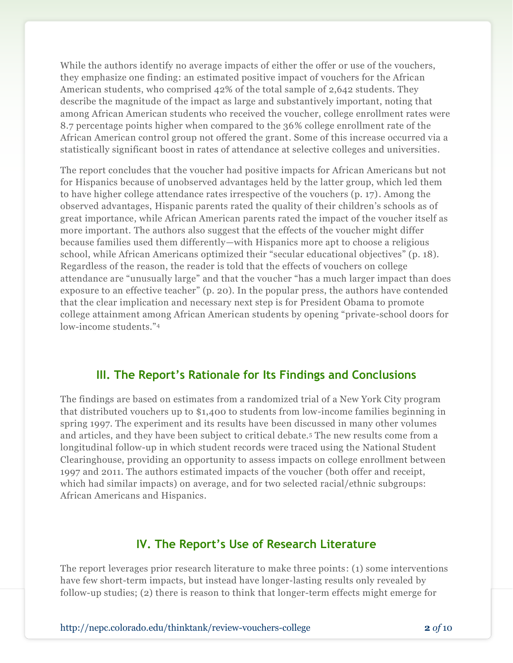While the authors identify no average impacts of either the offer or use of the vouchers, they emphasize one finding: an estimated positive impact of vouchers for the African American students, who comprised 42% of the total sample of 2,642 students. They describe the magnitude of the impact as large and substantively important, noting that among African American students who received the voucher, college enrollment rates were 8.7 percentage points higher when compared to the 36% college enrollment rate of the African American control group not offered the grant. Some of this increase occurred via a statistically significant boost in rates of attendance at selective colleges and universities.

The report concludes that the voucher had positive impacts for African Americans but not for Hispanics because of unobserved advantages held by the latter group, which led them to have higher college attendance rates irrespective of the vouchers (p. 17). Among the observed advantages, Hispanic parents rated the quality of their children's schools as of great importance, while African American parents rated the impact of the voucher itself as more important. The authors also suggest that the effects of the voucher might differ because families used them differently—with Hispanics more apt to choose a religious school, while African Americans optimized their "secular educational objectives" (p. 18). Regardless of the reason, the reader is told that the effects of vouchers on college attendance are "unusually large" and that the voucher "has a much larger impact than does exposure to an effective teacher" (p. 20). In the popular press, the authors have contended that the clear implication and necessary next step is for President Obama to promote college attainment among African American students by opening "private-school doors for low-income students."<sup>4</sup>

#### **III. The Report's Rationale for Its Findings and Conclusions**

The findings are based on estimates from a randomized trial of a New York City program that distributed vouchers up to \$1,400 to students from low-income families beginning in spring 1997. The experiment and its results have been discussed in many other volumes and articles, and they have been subject to critical debate.<sup>5</sup> The new results come from a longitudinal follow-up in which student records were traced using the National Student Clearinghouse, providing an opportunity to assess impacts on college enrollment between 1997 and 2011. The authors estimated impacts of the voucher (both offer and receipt, which had similar impacts) on average, and for two selected racial/ethnic subgroups: African Americans and Hispanics.

#### **IV. The Report's Use of Research Literature**

The report leverages prior research literature to make three points: (1) some interventions have few short-term impacts, but instead have longer-lasting results only revealed by follow-up studies; (2) there is reason to think that longer-term effects might emerge for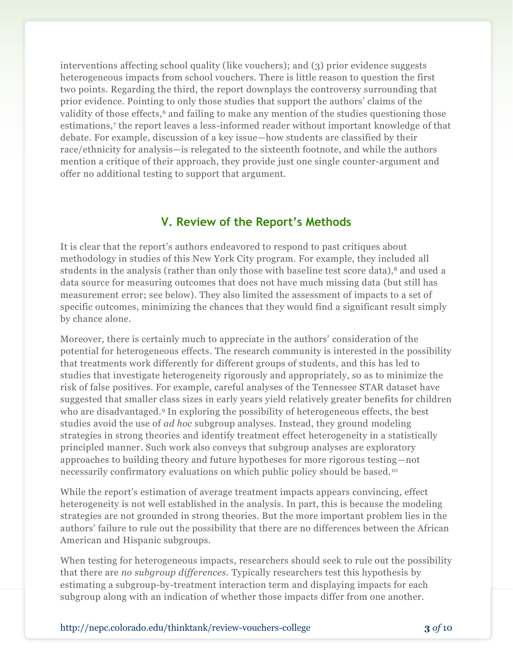interventions affecting school quality (like vouchers); and (3) prior evidence suggests heterogeneous impacts from school vouchers. There is little reason to question the first two points. Regarding the third, the report downplays the controversy surrounding that prior evidence. Pointing to only those studies that support the authors' claims of the validity of those effects,<sup>6</sup> and failing to make any mention of the studies questioning those estimations,<sup>7</sup> the report leaves a less-informed reader without important knowledge of that debate. For example, discussion of a key issue—how students are classified by their race/ethnicity for analysis—is relegated to the sixteenth footnote, and while the authors mention a critique of their approach, they provide just one single counter-argument and offer no additional testing to support that argument.

#### **V. Review of the Report's Methods**

It is clear that the report's authors endeavored to respond to past critiques about methodology in studies of this New York City program. For example, they included all students in the analysis (rather than only those with baseline test score data),<sup>8</sup> and used a data source for measuring outcomes that does not have much missing data (but still has measurement error; see below). They also limited the assessment of impacts to a set of specific outcomes, minimizing the chances that they would find a significant result simply by chance alone.

Moreover, there is certainly much to appreciate in the authors' consideration of the potential for heterogeneous effects. The research community is interested in the possibility that treatments work differently for different groups of students, and this has led to studies that investigate heterogeneity rigorously and appropriately, so as to minimize the risk of false positives. For example, careful analyses of the Tennessee STAR dataset have suggested that smaller class sizes in early years yield relatively greater benefits for children who are disadvantaged.<sup>9</sup> In exploring the possibility of heterogeneous effects, the best studies avoid the use of *ad hoc* subgroup analyses. Instead, they ground modeling strategies in strong theories and identify treatment effect heterogeneity in a statistically principled manner. Such work also conveys that subgroup analyses are exploratory approaches to building theory and future hypotheses for more rigorous testing—not necessarily confirmatory evaluations on which public policy should be based. <sup>10</sup>

While the report's estimation of average treatment impacts appears convincing, effect heterogeneity is not well established in the analysis. In part, this is because the modeling strategies are not grounded in strong theories. But the more important problem lies in the authors' failure to rule out the possibility that there are no differences between the African American and Hispanic subgroups.

When testing for heterogeneous impacts, researchers should seek to rule out the possibility that there are *no subgroup differences.* Typically researchers test this hypothesis by estimating a subgroup-by-treatment interaction term and displaying impacts for each subgroup along with an indication of whether those impacts differ from one another.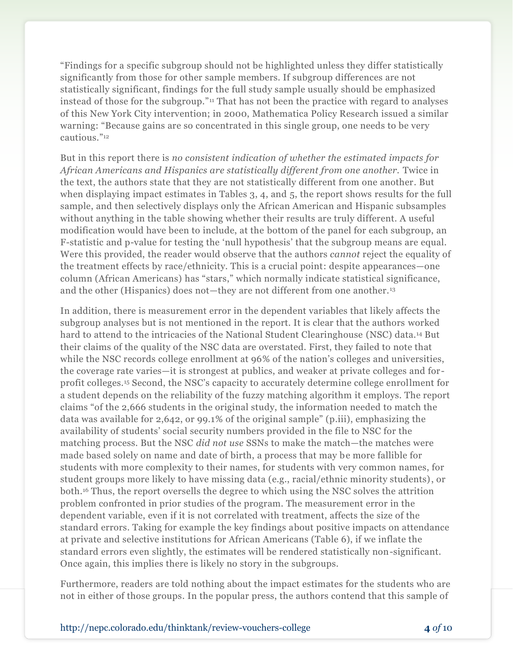"Findings for a specific subgroup should not be highlighted unless they differ statistically significantly from those for other sample members. If subgroup differences are not statistically significant, findings for the full study sample usually should be emphasized instead of those for the subgroup."<sup>11</sup> That has not been the practice with regard to analyses of this New York City intervention; in 2000, Mathematica Policy Research issued a similar warning: "Because gains are so concentrated in this single group, one needs to be very cautious."<sup>12</sup>

But in this report there is *no consistent indication of whether the estimated impacts for African Americans and Hispanics are statistically different from one another.* Twice in the text, the authors state that they are not statistically different from one another. But when displaying impact estimates in Tables 3, 4, and 5, the report shows results for the full sample, and then selectively displays only the African American and Hispanic subsamples without anything in the table showing whether their results are truly different. A useful modification would have been to include, at the bottom of the panel for each subgroup, an F-statistic and p-value for testing the 'null hypothesis' that the subgroup means are equal. Were this provided, the reader would observe that the authors *cannot* reject the equality of the treatment effects by race/ethnicity. This is a crucial point: despite appearances—one column (African Americans) has "stars," which normally indicate statistical significance, and the other (Hispanics) does not—they are not different from one another.<sup>13</sup>

In addition, there is measurement error in the dependent variables that likely affects the subgroup analyses but is not mentioned in the report. It is clear that the authors worked hard to attend to the intricacies of the National Student Clearinghouse (NSC) data.<sup>14</sup> But their claims of the quality of the NSC data are overstated. First, they failed to note that while the NSC records college enrollment at 96% of the nation's colleges and universities, the coverage rate varies—it is strongest at publics, and weaker at private colleges and forprofit colleges.<sup>15</sup> Second, the NSC's capacity to accurately determine college enrollment for a student depends on the reliability of the fuzzy matching algorithm it employs. The report claims "of the 2,666 students in the original study, the information needed to match the data was available for 2,642, or 99.1% of the original sample" (p.iii), emphasizing the availability of students' social security numbers provided in the file to NSC for the matching process. But the NSC *did not use* SSNs to make the match—the matches were made based solely on name and date of birth, a process that may be more fallible for students with more complexity to their names, for students with very common names, for student groups more likely to have missing data (e.g., racial/ethnic minority students), or both. <sup>16</sup> Thus, the report oversells the degree to which using the NSC solves the attrition problem confronted in prior studies of the program. The measurement error in the dependent variable, even if it is not correlated with treatment, affects the size of the standard errors. Taking for example the key findings about positive impacts on attendance at private and selective institutions for African Americans (Table 6), if we inflate the standard errors even slightly, the estimates will be rendered statistically non-significant. Once again, this implies there is likely no story in the subgroups.

Furthermore, readers are told nothing about the impact estimates for the students who are not in either of those groups. In the popular press, the authors contend that this sample of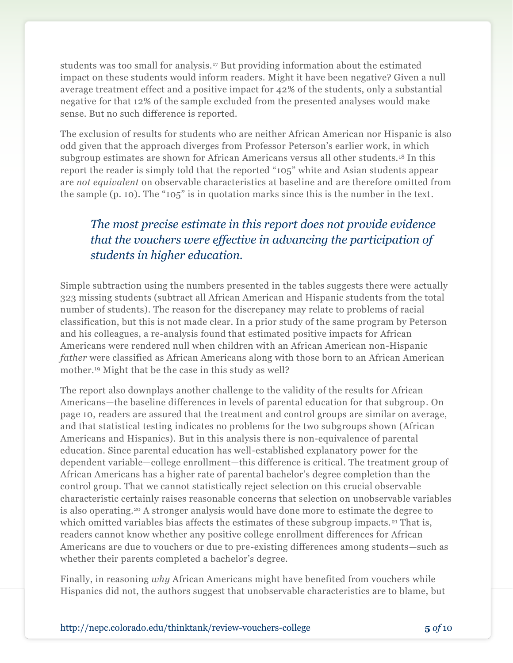students was too small for analysis.<sup>17</sup> But providing information about the estimated impact on these students would inform readers. Might it have been negative? Given a null average treatment effect and a positive impact for 42% of the students, only a substantial negative for that 12% of the sample excluded from the presented analyses would make sense. But no such difference is reported.

The exclusion of results for students who are neither African American nor Hispanic is also odd given that the approach diverges from Professor Peterson's earlier work, in which subgroup estimates are shown for African Americans versus all other students.<sup>18</sup> In this report the reader is simply told that the reported "105" white and Asian students appear are *not equivalent* on observable characteristics at baseline and are therefore omitted from the sample (p. 10). The "105" is in quotation marks since this is the number in the text.

### *The most precise estimate in this report does not provide evidence that the vouchers were effective in advancing the participation of students in higher education.*

Simple subtraction using the numbers presented in the tables suggests there were actually 323 missing students (subtract all African American and Hispanic students from the total number of students). The reason for the discrepancy may relate to problems of racial classification, but this is not made clear. In a prior study of the same program by Peterson and his colleagues, a re-analysis found that estimated positive impacts for African Americans were rendered null when children with an African American non-Hispanic *father* were classified as African Americans along with those born to an African American mother.<sup>19</sup> Might that be the case in this study as well?

The report also downplays another challenge to the validity of the results for African Americans—the baseline differences in levels of parental education for that subgroup. On page 10, readers are assured that the treatment and control groups are similar on average, and that statistical testing indicates no problems for the two subgroups shown (African Americans and Hispanics). But in this analysis there is non-equivalence of parental education. Since parental education has well-established explanatory power for the dependent variable—college enrollment—this difference is critical. The treatment group of African Americans has a higher rate of parental bachelor's degree completion than the control group. That we cannot statistically reject selection on this crucial observable characteristic certainly raises reasonable concerns that selection on unobservable variables is also operating.<sup>20</sup> A stronger analysis would have done more to estimate the degree to which omitted variables bias affects the estimates of these subgroup impacts.<sup>21</sup> That is, readers cannot know whether any positive college enrollment differences for African Americans are due to vouchers or due to pre-existing differences among students—such as whether their parents completed a bachelor's degree.

Finally, in reasoning *why* African Americans might have benefited from vouchers while Hispanics did not, the authors suggest that unobservable characteristics are to blame, but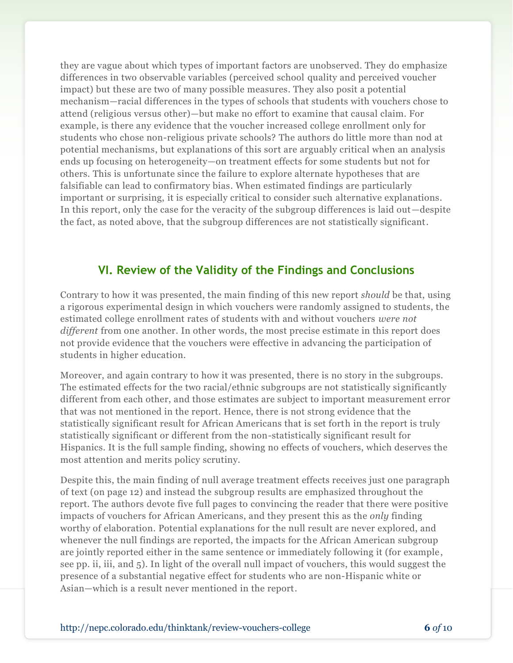they are vague about which types of important factors are unobserved. They do emphasize differences in two observable variables (perceived school quality and perceived voucher impact) but these are two of many possible measures. They also posit a potential mechanism—racial differences in the types of schools that students with vouchers chose to attend (religious versus other)—but make no effort to examine that causal claim. For example, is there any evidence that the voucher increased college enrollment only for students who chose non-religious private schools? The authors do little more than nod at potential mechanisms, but explanations of this sort are arguably critical when an analysis ends up focusing on heterogeneity—on treatment effects for some students but not for others. This is unfortunate since the failure to explore alternate hypotheses that are falsifiable can lead to confirmatory bias. When estimated findings are particularly important or surprising, it is especially critical to consider such alternative explanations. In this report, only the case for the veracity of the subgroup differences is laid out—despite the fact, as noted above, that the subgroup differences are not statistically significant.

#### **VI. Review of the Validity of the Findings and Conclusions**

Contrary to how it was presented, the main finding of this new report *should* be that, using a rigorous experimental design in which vouchers were randomly assigned to students, the estimated college enrollment rates of students with and without vouchers *were not different* from one another. In other words, the most precise estimate in this report does not provide evidence that the vouchers were effective in advancing the participation of students in higher education.

Moreover, and again contrary to how it was presented, there is no story in the subgroups. The estimated effects for the two racial/ethnic subgroups are not statistically significantly different from each other, and those estimates are subject to important measurement error that was not mentioned in the report. Hence, there is not strong evidence that the statistically significant result for African Americans that is set forth in the report is truly statistically significant or different from the non-statistically significant result for Hispanics. It is the full sample finding, showing no effects of vouchers, which deserves the most attention and merits policy scrutiny.

Despite this, the main finding of null average treatment effects receives just one paragraph of text (on page 12) and instead the subgroup results are emphasized throughout the report. The authors devote five full pages to convincing the reader that there were positive impacts of vouchers for African Americans, and they present this as the *only* finding worthy of elaboration. Potential explanations for the null result are never explored, and whenever the null findings are reported, the impacts for the African American subgroup are jointly reported either in the same sentence or immediately following it (for example, see pp. ii, iii, and 5). In light of the overall null impact of vouchers, this would suggest the presence of a substantial negative effect for students who are non-Hispanic white or Asian—which is a result never mentioned in the report.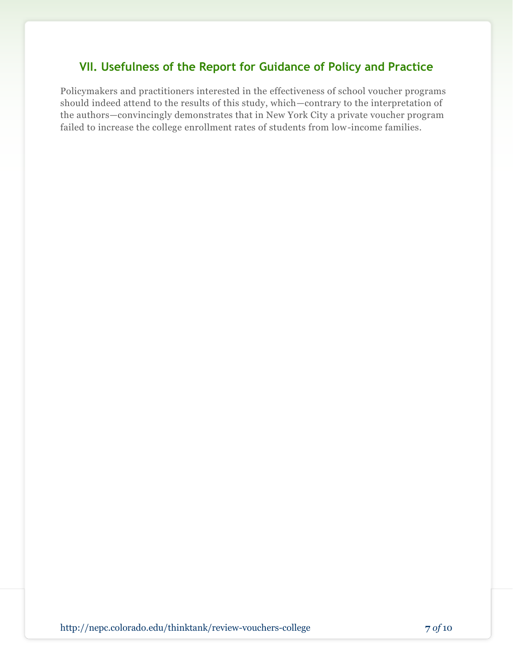#### **VII. Usefulness of the Report for Guidance of Policy and Practice**

Policymakers and practitioners interested in the effectiveness of school voucher programs should indeed attend to the results of this study, which—contrary to the interpretation of the authors—convincingly demonstrates that in New York City a private voucher program failed to increase the college enrollment rates of students from low-income families.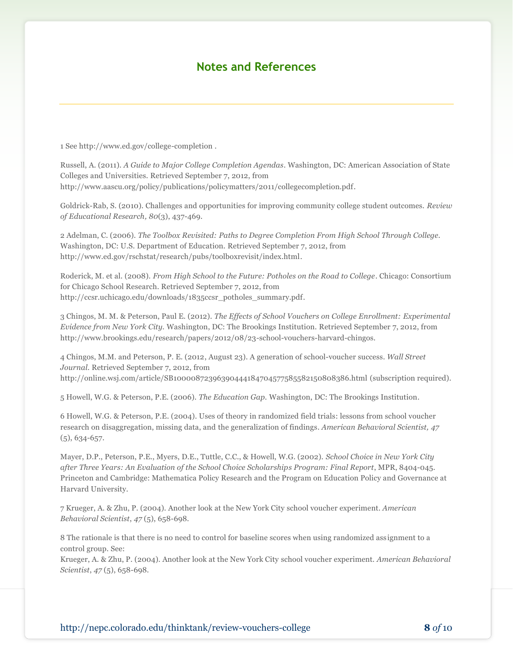#### **Notes and References**

1 See http://www.ed.gov/college-completion .

Russell, A. (2011). *A Guide to Major College Completion Agendas*. Washington, DC: American Association of State Colleges and Universities. Retrieved September 7, 2012, from http://www.aascu.org/policy/publications/policymatters/2011/collegecompletion.pdf.

Goldrick-Rab, S. (2010). Challenges and opportunities for improving community college student outcomes. *Review of Educational Research, 80*(3), 437-469.

2 Adelman, C. (2006). *The Toolbox Revisited: Paths to Degree Completion From High School Through College.* Washington, DC: U.S. Department of Education. Retrieved September 7, 2012, from http://www.ed.gov/rschstat/research/pubs/toolboxrevisit/index.html.

Roderick, M. et al. (2008). *From High School to the Future: Potholes on the Road to College*. Chicago: Consortium for Chicago School Research. Retrieved September 7, 2012, from http://ccsr.uchicago.edu/downloads/1835ccsr\_potholes\_summary.pdf.

3 Chingos, M. M. & Peterson, Paul E. (2012). *The Effects of School Vouchers on College Enrollment: Experimental Evidence from New York City.* Washington, DC: The Brookings Institution. Retrieved September 7, 2012, from http://www.brookings.edu/research/papers/2012/08/23-school-vouchers-harvard-chingos.

4 Chingos, M.M. and Peterson, P. E. (2012, August 23). A generation of school-voucher success. *Wall Street Journal.* Retrieved September 7, 2012, from http://online.wsj.com/article/SB10000872396390444184704577585582150808386.html (subscription required).

5 Howell, W.G. & Peterson, P.E. (2006). *The Education Gap.* Washington, DC: The Brookings Institution.

6 Howell, W.G. & Peterson, P.E. (2004). Uses of theory in randomized field trials: lessons from school voucher research on disaggregation, missing data, and the generalization of findings. *American Behavioral Scientist, 47* (5), 634-657.

Mayer, D.P., Peterson, P.E., Myers, D.E., Tuttle, C.C., & Howell, W.G. (2002). *School Choice in New York City after Three Years: An Evaluation of the School Choice Scholarships Program: Final Report*, MPR, 8404-045. Princeton and Cambridge: Mathematica Policy Research and the Program on Education Policy and Governance at Harvard University.

7 Krueger, A. & Zhu, P. (2004). Another look at the New York City school voucher experiment. *American Behavioral Scientist*, *47* (5), 658-698.

8 The rationale is that there is no need to control for baseline scores when using randomized ass ignment to a control group. See:

Krueger, A. & Zhu, P. (2004). Another look at the New York City school voucher experiment. *American Behavioral Scientist*, *47* (5), 658-698.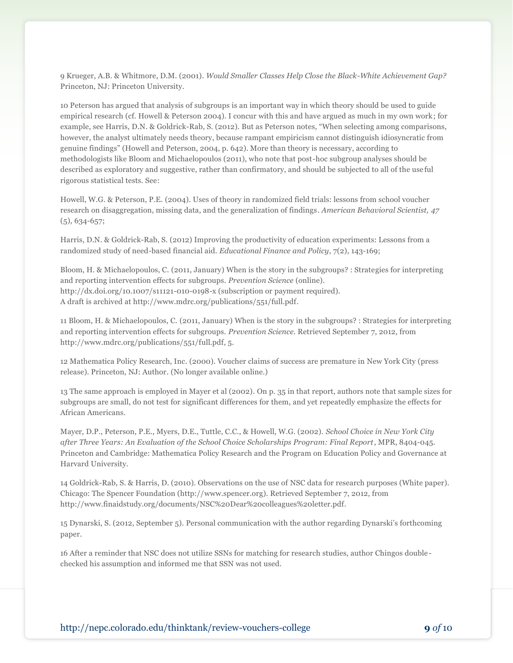9 Krueger, A.B. & Whitmore, D.M. (2001). *Would Smaller Classes Help Close the Black-White Achievement Gap?* Princeton, NJ: Princeton University.

10 Peterson has argued that analysis of subgroups is an important way in which theory should be used to guide empirical research (cf. Howell & Peterson 2004). I concur with this and have argued as much in my own work; for example, see Harris, D.N. & Goldrick-Rab, S. (2012). But as Peterson notes, "When selecting among comparisons, however, the analyst ultimately needs theory, because rampant empiricism cannot distinguish idiosyncratic from genuine findings" (Howell and Peterson, 2004, p. 642). More than theory is necessary, according to methodologists like Bloom and Michaelopoulos (2011), who note that post-hoc subgroup analyses should be described as exploratory and suggestive, rather than confirmatory, and should be subjected to all of the useful rigorous statistical tests. See:

Howell, W.G. & Peterson, P.E. (2004). Uses of theory in randomized field trials: lessons from school voucher research on disaggregation, missing data, and the generalization of findings. *American Behavioral Scientist, 47* (5), 634-657;

Harris, D.N. & Goldrick-Rab, S. (2012) Improving the productivity of education experiments: Lessons from a randomized study of need-based financial aid. *Educational Finance and Policy*, 7(2), 143-169;

Bloom, H. & Michaelopoulos, C. (2011, January) When is the story in the subgroups? : Strategies for interpreting and reporting intervention effects for subgroups. *Prevention Science* (online). http://dx.doi.org/10.1007/s11121-010-0198-x (subscription or payment required). A draft is archived at http://www.mdrc.org/publications/551/full.pdf.

11 Bloom, H. & Michaelopoulos, C. (2011, January) When is the story in the subgroups? : Strategies for interpreting and reporting intervention effects for subgroups. *Prevention Science*. Retrieved September 7, 2012, from http://www.mdrc.org/publications/551/full.pdf, 5.

12 Mathematica Policy Research, Inc. (2000). Voucher claims of success are premature in New York City (press release). Princeton, NJ: Author. (No longer available online.)

13 The same approach is employed in Mayer et al (2002). On p. 35 in that report, authors note that sample sizes for subgroups are small, do not test for significant differences for them, and yet repeatedly emphasize the effects for African Americans.

Mayer, D.P., Peterson, P.E., Myers, D.E., Tuttle, C.C., & Howell, W.G. (2002). *School Choice in New York City after Three Years: An Evaluation of the School Choice Scholarships Program: Final Report*, MPR, 8404-045. Princeton and Cambridge: Mathematica Policy Research and the Program on Education Policy and Governance at Harvard University.

14 Goldrick-Rab, S. & Harris, D. (2010). Observations on the use of NSC data for research purposes (White paper). Chicago: The Spencer Foundation (http://www.spencer.org). Retrieved September 7, 2012, from http://www.finaidstudy.org/documents/NSC%20Dear%20colleagues%20letter.pdf.

15 Dynarski, S. (2012, September 5). Personal communication with the author regarding Dynarski's forthcoming paper.

16 After a reminder that NSC does not utilize SSNs for matching for research studies, author Chingos doublechecked his assumption and informed me that SSN was not used.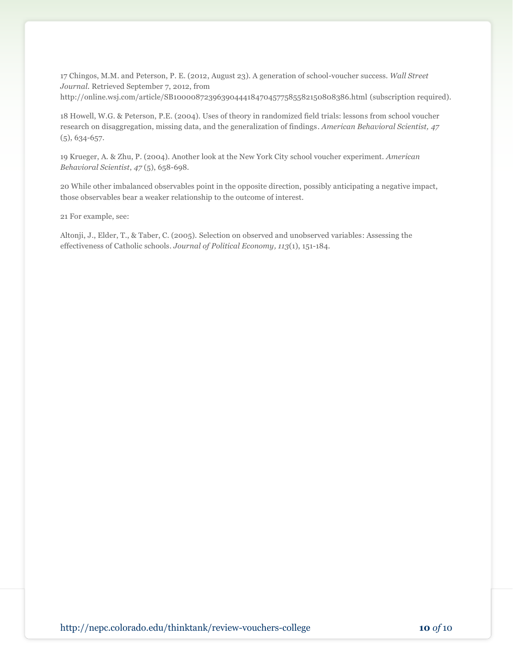17 Chingos, M.M. and Peterson, P. E. (2012, August 23). A generation of school-voucher success. *Wall Street Journal.* Retrieved September 7, 2012, from http://online.wsj.com/article/SB10000872396390444184704577585582150808386.html (subscription required).

18 Howell, W.G. & Peterson, P.E. (2004). Uses of theory in randomized field trials: lessons from school voucher research on disaggregation, missing data, and the generalization of findings. *American Behavioral Scientist, 47* (5), 634-657.

19 Krueger, A. & Zhu, P. (2004). Another look at the New York City school voucher experiment. *American Behavioral Scientist*, *47* (5), 658-698.

20 While other imbalanced observables point in the opposite direction, possibly anticipating a negative impact, those observables bear a weaker relationship to the outcome of interest.

21 For example, see:

Altonji, J., Elder, T., & Taber, C. (2005). Selection on observed and unobserved variables: Assessing the effectiveness of Catholic schools. *Journal of Political Economy, 113*(1), 151-184.